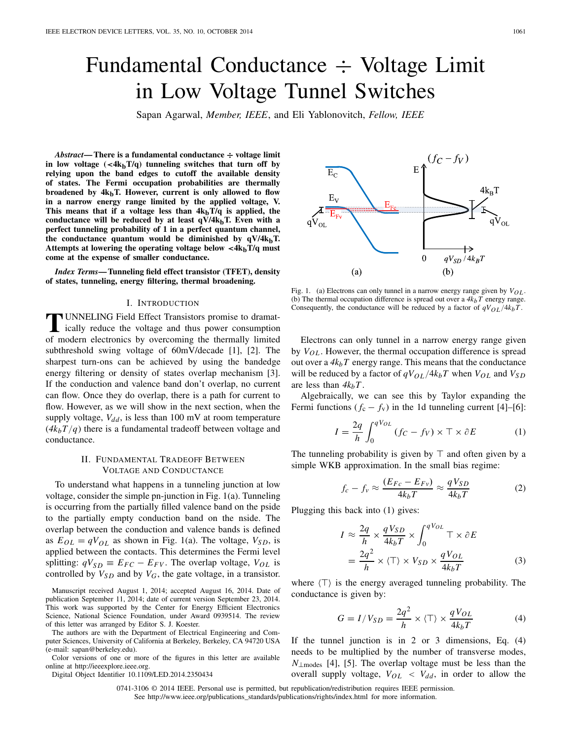# Fundamental Conductance ÷ Voltage Limit in Low Voltage Tunnel Switches

 $E_C$ 

Sapan Agarwal, *Member, IEEE*, and Eli Yablonovitch, *Fellow, IEEE*

*Abstract***— There is a fundamental conductance ÷ voltage limit** in low voltage  $(\langle 4k_bT/q \rangle)$  tunneling switches that turn off by **relying upon the band edges to cutoff the available density of states. The Fermi occupation probabilities are thermally** broadened by  $4k_bT$ . However, current is only allowed to flow **in a narrow energy range limited by the applied voltage, V.** This means that if a voltage less than  $4k_bT/q$  is applied, the conductance will be reduced by at least  $q\bar{V}/4k_bT$ . Even with a **perfect tunneling probability of 1 in a perfect quantum channel,** the conductance quantum would be diminished by  $qV/4k_bT$ . **Attempts at lowering the operating voltage below** *<***4kbT/q must come at the expense of smaller conductance.**

*Index Terms***— Tunneling field effect transistor (TFET), density of states, tunneling, energy filtering, thermal broadening.**

### I. INTRODUCTION

**T**UNNELING Field Effect Transistors promise to dramat-<br>
ically reduce the voltage and thus power consumption<br>
of modern electronics by expressive the thermally limited of modern electronics by overcoming the thermally limited subthreshold swing voltage of 60mV/decade [1], [2]. The sharpest turn-ons can be achieved by using the bandedge energy filtering or density of states overlap mechanism [3]. If the conduction and valence band don't overlap, no current can flow. Once they do overlap, there is a path for current to flow. However, as we will show in the next section, when the supply voltage,  $V_{dd}$ , is less than 100 mV at room temperature  $(4k_bT/q)$  there is a fundamental tradeoff between voltage and conductance.

## II. FUNDAMENTAL TRADEOFF BETWEEN VOLTAGE AND CONDUCTANCE

To understand what happens in a tunneling junction at low voltage, consider the simple pn-junction in Fig. 1(a). Tunneling is occurring from the partially filled valence band on the pside to the partially empty conduction band on the nside. The overlap between the conduction and valence bands is defined as  $E_{OL} = qV_{OL}$  as shown in Fig. 1(a). The voltage,  $V_{SD}$ , is applied between the contacts. This determines the Fermi level splitting:  $qV_{SD} \equiv E_{FC} - E_{FV}$ . The overlap voltage,  $V_{OL}$  is controlled by  $V_{SD}$  and by  $V_G$ , the gate voltage, in a transistor.

Manuscript received August 1, 2014; accepted August 16, 2014. Date of publication September 11, 2014; date of current version September 23, 2014. This work was supported by the Center for Energy Efficient Electronics Science, National Science Foundation, under Award 0939514. The review of this letter was arranged by Editor S. J. Koester.

The authors are with the Department of Electrical Engineering and Computer Sciences, University of California at Berkeley, Berkeley, CA 94720 USA (e-mail: sapan@berkeley.edu).

Color versions of one or more of the figures in this letter are available online at http://ieeexplore.ieee.org.

Digital Object Identifier 10.1109/LED.2014.2350434

 $4k_BT$  $E_{\rm V}$  $E_{\rm{Fc}}$  $\Omega$  $\overline{0}$  $qV_{SD}$  /  $4k_BT$  $(a)$  $(b)$ 

 $(f_C - f_V)$ 

Fig. 1. (a) Electrons can only tunnel in a narrow energy range given by  $V_{OL}$ . (b) The thermal occupation difference is spread out over a  $4k_bT$  energy range. Consequently, the conductance will be reduced by a factor of  $qV_{OL}/4k_bT$ .

Electrons can only tunnel in a narrow energy range given by  $V_{OL}$ . However, the thermal occupation difference is spread out over a  $4k_bT$  energy range. This means that the conductance will be reduced by a factor of  $qV_{OL}/4k_bT$  when  $V_{OL}$  and  $V_{SD}$ are less than  $4k_bT$ .

Algebraically, we can see this by Taylor expanding the Fermi functions  $(f_c - f_v)$  in the 1d tunneling current [4]–[6]:

$$
I = \frac{2q}{h} \int_0^{qV_{OL}} (f_C - f_V) \times \top \times \partial E \tag{1}
$$

The tunneling probability is given by  $\top$  and often given by a simple WKB approximation. In the small bias regime:

$$
f_c - f_v \approx \frac{(E_{Fc} - E_{Fv})}{4k_bT} \approx \frac{qV_{SD}}{4k_bT}
$$
 (2)

Plugging this back into (1) gives:

$$
I \approx \frac{2q}{h} \times \frac{qV_{SD}}{4k_bT} \times \int_0^{qV_{OL}} \top \times \partial E
$$
  
=  $\frac{2q^2}{h} \times \langle \top \rangle \times V_{SD} \times \frac{qV_{OL}}{4k_bT}$  (3)

where  $\langle T \rangle$  is the energy averaged tunneling probability. The conductance is given by:

$$
G = I/V_{SD} = \frac{2q^2}{h} \times \langle T \rangle \times \frac{qV_{OL}}{4k_bT}
$$
 (4)

If the tunnel junction is in 2 or 3 dimensions, Eq.  $(4)$ needs to be multiplied by the number of transverse modes, *N*<sub>⊥modes</sub> [4], [5]. The overlap voltage must be less than the overall supply voltage,  $V_{OL} < V_{dd}$ , in order to allow the

0741-3106 © 2014 IEEE. Personal use is permitted, but republication/redistribution requires IEEE permission. See http://www.ieee.org/publications\_standards/publications/rights/index.html for more information.